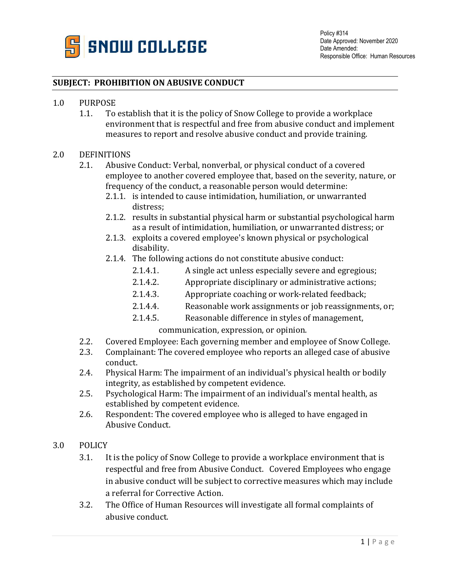

## **SUBJECT: PROHIBITION ON ABUSIVE CONDUCT**

- 1.0 PURPOSE
	- 1.1. To establish that it is the policy of Snow College to provide a workplace environment that is respectful and free from abusive conduct and implement measures to report and resolve abusive conduct and provide training.

## 2.0 DEFINITIONS

- 2.1. Abusive Conduct: Verbal, nonverbal, or physical conduct of a covered employee to another covered employee that, based on the severity, nature, or frequency of the conduct, a reasonable person would determine:
	- 2.1.1. is intended to cause intimidation, humiliation, or unwarranted distress;
	- 2.1.2. results in substantial physical harm or substantial psychological harm as a result of intimidation, humiliation, or unwarranted distress; or
	- 2.1.3. exploits a covered employee's known physical or psychological disability.
	- 2.1.4. The following actions do not constitute abusive conduct:
		- 2.1.4.1. A single act unless especially severe and egregious;
		- 2.1.4.2. Appropriate disciplinary or administrative actions;
		- 2.1.4.3. Appropriate coaching or work-related feedback;
		- 2.1.4.4. Reasonable work assignments or job reassignments, or;
		- 2.1.4.5. Reasonable difference in styles of management,

communication, expression, or opinion.

- 2.2. Covered Employee: Each governing member and employee of Snow College.
- 2.3. Complainant: The covered employee who reports an alleged case of abusive conduct.
- 2.4. Physical Harm: The impairment of an individual's physical health or bodily integrity, as established by competent evidence.
- 2.5. Psychological Harm: The impairment of an individual's mental health, as established by competent evidence.
- 2.6. Respondent: The covered employee who is alleged to have engaged in Abusive Conduct.
- 3.0 POLICY
	- 3.1. It is the policy of Snow College to provide a workplace environment that is respectful and free from Abusive Conduct. Covered Employees who engage in abusive conduct will be subject to corrective measures which may include a referral for Corrective Action.
	- 3.2. The Office of Human Resources will investigate all formal complaints of abusive conduct.